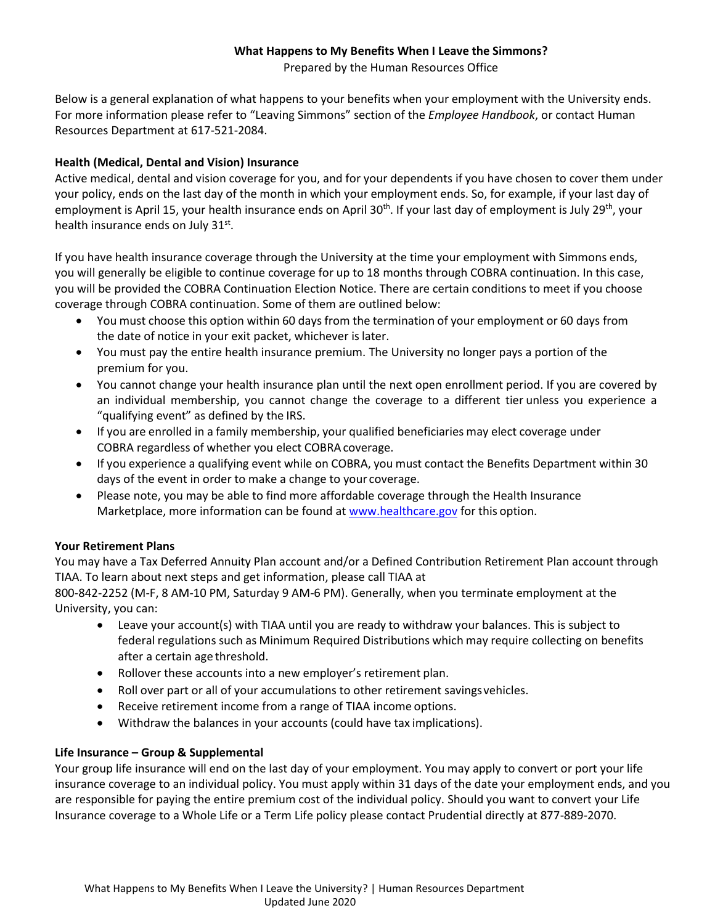# **What Happens to My Benefits When I Leave the Simmons?**

Prepared by the Human Resources Office

Below is a general explanation of what happens to your benefits when your employment with the University ends. For more information please refer to "Leaving Simmons" section of the *Employee Handbook*, or contact Human Resources Department at 617-521-2084.

# **Health (Medical, Dental and Vision) Insurance**

Active medical, dental and vision coverage for you, and for your dependents if you have chosen to cover them under your policy, ends on the last day of the month in which your employment ends. So, for example, if your last day of employment is April 15, your health insurance ends on April 30<sup>th</sup>. If your last day of employment is July 29<sup>th</sup>, your health insurance ends on July 31st.

If you have health insurance coverage through the University at the time your employment with Simmons ends, you will generally be eligible to continue coverage for up to 18 months through COBRA continuation. In this case, you will be provided the COBRA Continuation Election Notice. There are certain conditions to meet if you choose coverage through COBRA continuation. Some of them are outlined below:

- You must choose this option within 60 days from the termination of your employment or 60 days from the date of notice in your exit packet, whichever is later.
- You must pay the entire health insurance premium. The University no longer pays a portion of the premium for you.
- You cannot change your health insurance plan until the next open enrollment period. If you are covered by an individual membership, you cannot change the coverage to a different tier unless you experience a "qualifying event" as defined by the IRS.
- If you are enrolled in a family membership, your qualified beneficiaries may elect coverage under COBRA regardless of whether you elect COBRAcoverage.
- If you experience a qualifying event while on COBRA, you must contact the Benefits Department within 30 days of the event in order to make a change to your coverage.
- Please note, you may be able to find more affordable coverage through the Health Insurance Marketplace, more information can be found at [www.healthcare.gov](http://www.healthcare.gov/) for this option.

## **Your Retirement Plans**

You may have a Tax Deferred Annuity Plan account and/or a Defined Contribution Retirement Plan account through TIAA. To learn about next steps and get information, please call TIAA at

800-842-2252 (M-F, 8 AM-10 PM, Saturday 9 AM-6 PM). Generally, when you terminate employment at the University, you can:

- Leave your account(s) with TIAA until you are ready to withdraw your balances. This is subject to federal regulations such as Minimum Required Distributions which may require collecting on benefits after a certain age threshold.
- Rollover these accounts into a new employer's retirement plan.
- Roll over part or all of your accumulations to other retirement savingsvehicles.
- Receive retirement income from a range of TIAA income options.
- Withdraw the balances in your accounts (could have tax implications).

## **Life Insurance – Group & Supplemental**

Your group life insurance will end on the last day of your employment. You may apply to convert or port your life insurance coverage to an individual policy. You must apply within 31 days of the date your employment ends, and you are responsible for paying the entire premium cost of the individual policy. Should you want to convert your Life Insurance coverage to a Whole Life or a Term Life policy please contact Prudential directly at 877-889-2070.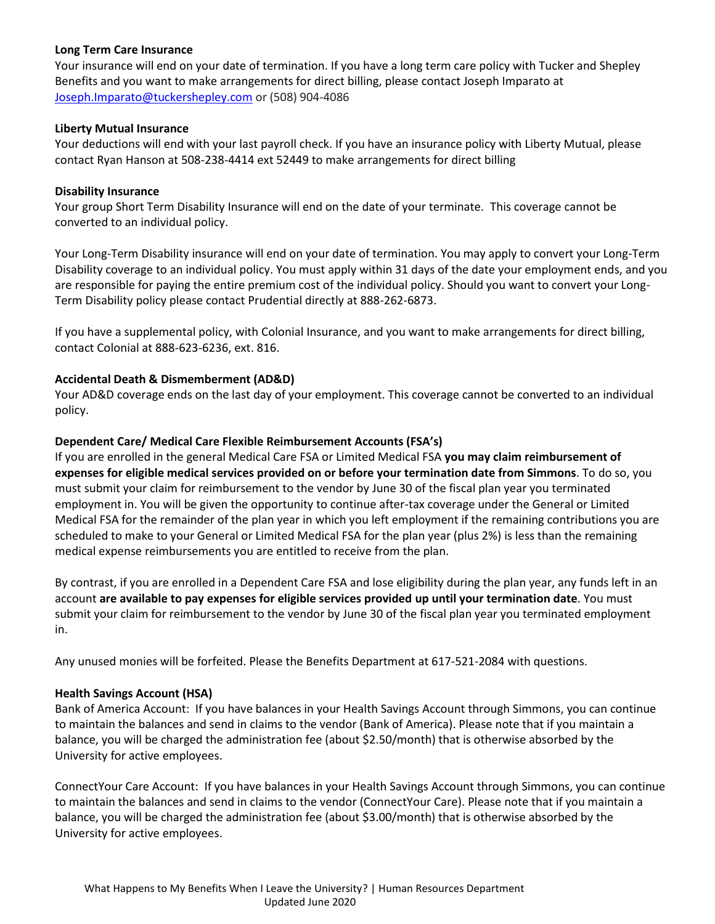### **Long Term Care Insurance**

Your insurance will end on your date of termination. If you have a long term care policy with Tucker and Shepley Benefits and you want to make arrangements for direct billing, please contact Joseph Imparato at [Joseph.Imparato@tuckershepley.com](mailto:Joseph.Imparato@tuckershepley.com) or (508) 904-4086

### **Liberty Mutual Insurance**

Your deductions will end with your last payroll check. If you have an insurance policy with Liberty Mutual, please contact Ryan Hanson at 508-238-4414 ext 52449 to make arrangements for direct billing

### **Disability Insurance**

Your group Short Term Disability Insurance will end on the date of your terminate.This coverage cannot be converted to an individual policy.

Your Long-Term Disability insurance will end on your date of termination. You may apply to convert your Long-Term Disability coverage to an individual policy. You must apply within 31 days of the date your employment ends, and you are responsible for paying the entire premium cost of the individual policy. Should you want to convert your Long-Term Disability policy please contact Prudential directly at 888-262-6873.

If you have a supplemental policy, with Colonial Insurance, and you want to make arrangements for direct billing, contact Colonial at 888-623-6236, ext. 816.

### **Accidental Death & Dismemberment (AD&D)**

Your AD&D coverage ends on the last day of your employment. This coverage cannot be converted to an individual policy.

### **Dependent Care/ Medical Care Flexible Reimbursement Accounts (FSA's)**

If you are enrolled in the general Medical Care FSA or Limited Medical FSA **you may claim reimbursement of expenses for eligible medical services provided on or before your termination date from Simmons**. To do so, you must submit your claim for reimbursement to the vendor by June 30 of the fiscal plan year you terminated employment in. You will be given the opportunity to continue after-tax coverage under the General or Limited Medical FSA for the remainder of the plan year in which you left employment if the remaining contributions you are scheduled to make to your General or Limited Medical FSA for the plan year (plus 2%) is less than the remaining medical expense reimbursements you are entitled to receive from the plan.

By contrast, if you are enrolled in a Dependent Care FSA and lose eligibility during the plan year, any funds left in an account **are available to pay expenses for eligible services provided up until your termination date**. You must submit your claim for reimbursement to the vendor by June 30 of the fiscal plan year you terminated employment in.

Any unused monies will be forfeited. Please the Benefits Department at 617-521-2084 with questions.

### **Health Savings Account (HSA)**

Bank of America Account: If you have balances in your Health Savings Account through Simmons, you can continue to maintain the balances and send in claims to the vendor (Bank of America). Please note that if you maintain a balance, you will be charged the administration fee (about \$2.50/month) that is otherwise absorbed by the University for active employees.

ConnectYour Care Account: If you have balances in your Health Savings Account through Simmons, you can continue to maintain the balances and send in claims to the vendor (ConnectYour Care). Please note that if you maintain a balance, you will be charged the administration fee (about \$3.00/month) that is otherwise absorbed by the University for active employees.